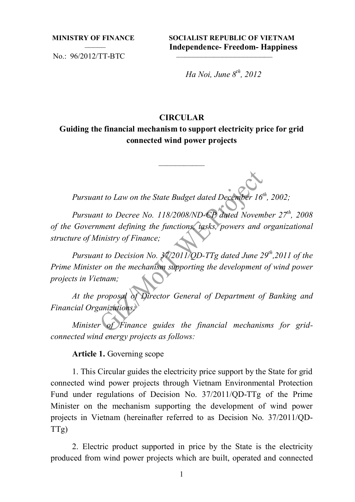No.: 96/2012/TT-BTC

**MINISTRY OF FINANCE SOCIALIST REPUBLIC OF VIETNAM**  ––––– **Independence- Freedom- Happiness** 

*Ha Noi, June 8th, 2012* 

### **CIRCULAR**

**Guiding the financial mechanism to support electricity price for grid connected wind power projects** 

*Pursuant to Law on the State Budget dated December 16<sup>th</sup>, 2002;* 

–––––––––––

*Pursuant to Decree No. 118/2008/ND-CP dated November 27<sup>th</sup>, 2008 of the Government defining the functions, tasks, powers and organizational structure of Ministry of Finance;* 

*Pursuant to Decision No. 37/2011/QD-TTg dated June 29<sup>th</sup>,2011 of the Prime Minister on the mechanism supporting the development of wind power projects in Vietnam;* 

*At the proposal of Director General of Department of Banking and Financial Organizations;* 

*Minister of Finance guides the financial mechanisms for gridconnected wind energy projects as follows:*

**Article 1.** Governing scope

1. This Circular guides the electricity price support by the State for grid connected wind power projects through Vietnam Environmental Protection Fund under regulations of Decision No. 37/2011/QD-TTg of the Prime Minister on the mechanism supporting the development of wind power projects in Vietnam (hereinafter referred to as Decision No. 37/2011/QD-TTg)

2. Electric product supported in price by the State is the electricity produced from wind power projects which are built, operated and connected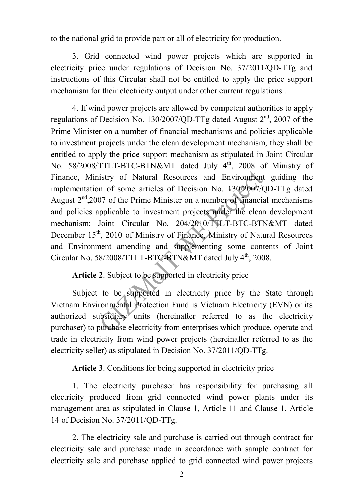to the national grid to provide part or all of electricity for production.

3. Grid connected wind power projects which are supported in electricity price under regulations of Decision No. 37/2011/QD-TTg and instructions of this Circular shall not be entitled to apply the price support mechanism for their electricity output under other current regulations .

4. If wind power projects are allowed by competent authorities to apply regulations of Decision No. 130/2007/QD-TTg dated August  $2<sup>nd</sup>$ , 2007 of the Prime Minister on a number of financial mechanisms and policies applicable to investment projects under the clean development mechanism, they shall be entitled to apply the price support mechanism as stipulated in Joint Circular No. 58/2008/TTLT-BTC-BTN&MT dated July 4<sup>th</sup>, 2008 of Ministry of Finance, Ministry of Natural Resources and Environment guiding the implementation of some articles of Decision No. 130/2007/QD-TTg dated August  $2<sup>nd</sup>$ ,2007 of the Prime Minister on a number of financial mechanisms and policies applicable to investment projects under the clean development mechanism; Joint Circular No. 204/2010/TTLT-BTC-BTN&MT dated December  $15<sup>th</sup>$ , 2010 of Ministry of Finance, Ministry of Natural Resources and Environment amending and supplementing some contents of Joint Circular No.  $58/2008/TTLT-BTC-BTN&MT$  dated July  $4<sup>th</sup>$ , 2008.

# **Article 2**. Subject to be supported in electricity price

Subject to be supported in electricity price by the State through Vietnam Environmental Protection Fund is Vietnam Electricity (EVN) or its authorized subsidiary units (hereinafter referred to as the electricity purchaser) to purchase electricity from enterprises which produce, operate and trade in electricity from wind power projects (hereinafter referred to as the electricity seller) as stipulated in Decision No. 37/2011/QD-TTg.

**Article 3**. Conditions for being supported in electricity price

1. The electricity purchaser has responsibility for purchasing all electricity produced from grid connected wind power plants under its management area as stipulated in Clause 1, Article 11 and Clause 1, Article 14 of Decision No. 37/2011/QD-TTg.

2. The electricity sale and purchase is carried out through contract for electricity sale and purchase made in accordance with sample contract for electricity sale and purchase applied to grid connected wind power projects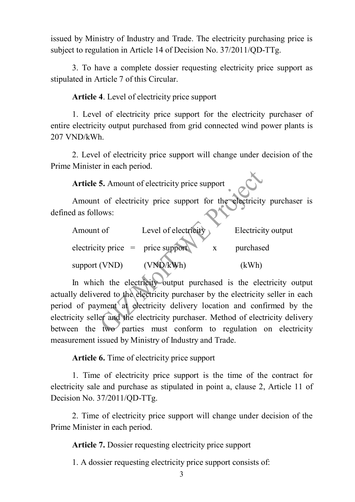issued by Ministry of Industry and Trade. The electricity purchasing price is subject to regulation in Article 14 of Decision No. 37/2011/QD-TTg.

3. To have a complete dossier requesting electricity price support as stipulated in Article 7 of this Circular.

**Article 4**. Level of electricity price support

1. Level of electricity price support for the electricity purchaser of entire electricity output purchased from grid connected wind power plants is 207 VND/kWh.

2. Level of electricity price support will change under decision of the Prime Minister in each period.

**Article 5.** Amount of electricity price support

Amount of electricity price support for the electricity purchaser is defined as follows:

| Amount of                                         | Level of electricity | Electricity output |
|---------------------------------------------------|----------------------|--------------------|
| $\text{electricity price} = \text{price support}$ |                      | purchased          |
| support (VND)                                     | (VND/kWh)            | (kWh)              |

In which the electricity output purchased is the electricity output actually delivered to the electricity purchaser by the electricity seller in each period of payment at electricity delivery location and confirmed by the electricity seller and the electricity purchaser. Method of electricity delivery between the two parties must conform to regulation on electricity measurement issued by Ministry of Industry and Trade.

**Article 6.** Time of electricity price support

1. Time of electricity price support is the time of the contract for electricity sale and purchase as stipulated in point a, clause 2, Article 11 of Decision No. 37/2011/QD-TTg.

2. Time of electricity price support will change under decision of the Prime Minister in each period.

**Article 7.** Dossier requesting electricity price support

1. A dossier requesting electricity price support consists of: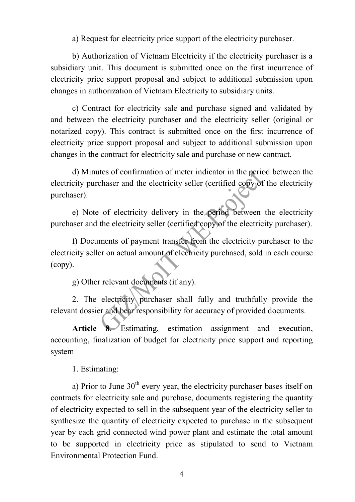a) Request for electricity price support of the electricity purchaser.

b) Authorization of Vietnam Electricity if the electricity purchaser is a subsidiary unit. This document is submitted once on the first incurrence of electricity price support proposal and subject to additional submission upon changes in authorization of Vietnam Electricity to subsidiary units.

c) Contract for electricity sale and purchase signed and validated by and between the electricity purchaser and the electricity seller (original or notarized copy). This contract is submitted once on the first incurrence of electricity price support proposal and subject to additional submission upon changes in the contract for electricity sale and purchase or new contract.

d) Minutes of confirmation of meter indicator in the period between the electricity purchaser and the electricity seller (certified copy of the electricity purchaser).

e) Note of electricity delivery in the period between the electricity purchaser and the electricity seller (certified copy of the electricity purchaser).

f) Documents of payment transfer from the electricity purchaser to the electricity seller on actual amount of electricity purchased, sold in each course (copy).

g) Other relevant documents (if any).

2. The electricity purchaser shall fully and truthfully provide the relevant dossier and bear responsibility for accuracy of provided documents.

**Article 8**. Estimating, estimation assignment and execution, accounting, finalization of budget for electricity price support and reporting system

1. Estimating:

a) Prior to June  $30<sup>th</sup>$  every year, the electricity purchaser bases itself on contracts for electricity sale and purchase, documents registering the quantity of electricity expected to sell in the subsequent year of the electricity seller to synthesize the quantity of electricity expected to purchase in the subsequent year by each grid connected wind power plant and estimate the total amount to be supported in electricity price as stipulated to send to Vietnam Environmental Protection Fund.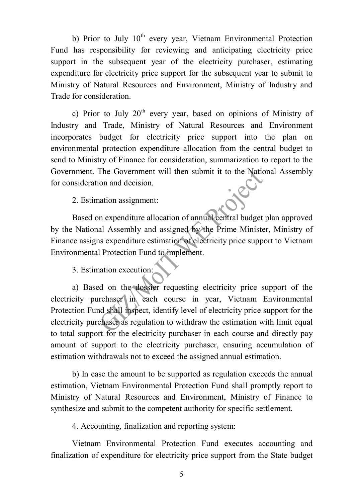b) Prior to July  $10<sup>th</sup>$  every year, Vietnam Environmental Protection Fund has responsibility for reviewing and anticipating electricity price support in the subsequent year of the electricity purchaser, estimating expenditure for electricity price support for the subsequent year to submit to Ministry of Natural Resources and Environment, Ministry of Industry and Trade for consideration.

c) Prior to July  $20<sup>th</sup>$  every year, based on opinions of Ministry of Industry and Trade, Ministry of Natural Resources and Environment incorporates budget for electricity price support into the plan on environmental protection expenditure allocation from the central budget to send to Ministry of Finance for consideration, summarization to report to the Government. The Government will then submit it to the National Assembly for consideration and decision.

2. Estimation assignment:

Based on expenditure allocation of annual central budget plan approved by the National Assembly and assigned by the Prime Minister, Ministry of Finance assigns expenditure estimation of electricity price support to Vietnam Environmental Protection Fund to implement.

3. Estimation execution:

a) Based on the dossier requesting electricity price support of the electricity purchaser in each course in year, Vietnam Environmental Protection Fund shall inspect, identify level of electricity price support for the electricity purchaser as regulation to withdraw the estimation with limit equal to total support for the electricity purchaser in each course and directly pay amount of support to the electricity purchaser, ensuring accumulation of estimation withdrawals not to exceed the assigned annual estimation.

b) In case the amount to be supported as regulation exceeds the annual estimation, Vietnam Environmental Protection Fund shall promptly report to Ministry of Natural Resources and Environment, Ministry of Finance to synthesize and submit to the competent authority for specific settlement.

4. Accounting, finalization and reporting system:

Vietnam Environmental Protection Fund executes accounting and finalization of expenditure for electricity price support from the State budget